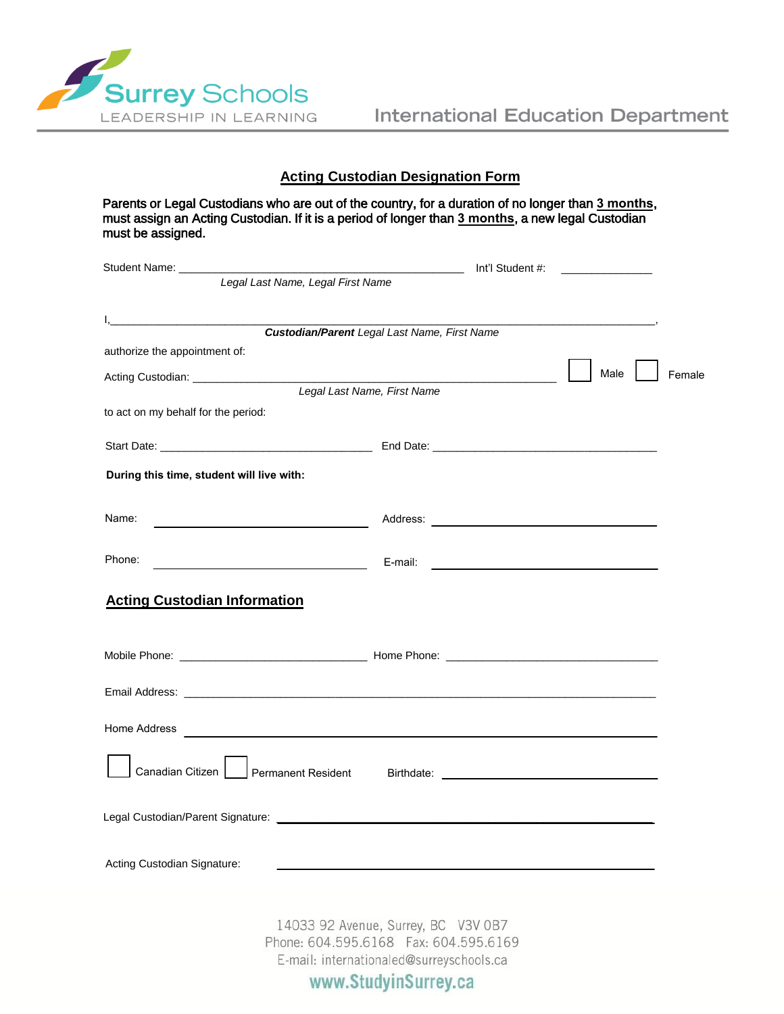

## **Acting Custodian Designation Form**

Parents or Legal Custodians who are out of the country, for a duration of no longer than **3 months**, must assign an Acting Custodian. If it is a period of longer than **3 months**, a new legal Custodian must be assigned.

| Legal Last Name, Legal First Name                                                                                                                                                                                                    |                                                     |                                                                                                                     |        |
|--------------------------------------------------------------------------------------------------------------------------------------------------------------------------------------------------------------------------------------|-----------------------------------------------------|---------------------------------------------------------------------------------------------------------------------|--------|
|                                                                                                                                                                                                                                      |                                                     |                                                                                                                     |        |
|                                                                                                                                                                                                                                      | <b>Custodian/Parent Legal Last Name, First Name</b> |                                                                                                                     |        |
| authorize the appointment of:                                                                                                                                                                                                        |                                                     |                                                                                                                     |        |
|                                                                                                                                                                                                                                      |                                                     | Male                                                                                                                | Female |
|                                                                                                                                                                                                                                      | Legal Last Name, First Name                         |                                                                                                                     |        |
| to act on my behalf for the period:                                                                                                                                                                                                  |                                                     |                                                                                                                     |        |
|                                                                                                                                                                                                                                      |                                                     |                                                                                                                     |        |
| During this time, student will live with:                                                                                                                                                                                            |                                                     |                                                                                                                     |        |
|                                                                                                                                                                                                                                      |                                                     |                                                                                                                     |        |
| Name:<br><u> 1989 - Johann Barn, mars eta bainar eta baina eta baina eta baina eta baina eta baina eta baina eta baina e</u>                                                                                                         |                                                     |                                                                                                                     |        |
|                                                                                                                                                                                                                                      |                                                     |                                                                                                                     |        |
| Phone:<br>the control of the control of the control of the control of                                                                                                                                                                | E-mail:                                             | <u> 1989 - Jan Sterling von Berger von Berger von Berger von Berger von Berger von Berger von Berger von Berger</u> |        |
| <b>Acting Custodian Information</b>                                                                                                                                                                                                  |                                                     |                                                                                                                     |        |
|                                                                                                                                                                                                                                      |                                                     |                                                                                                                     |        |
|                                                                                                                                                                                                                                      |                                                     |                                                                                                                     |        |
|                                                                                                                                                                                                                                      |                                                     |                                                                                                                     |        |
| Home Address <b>contract to the contract of the contract of the contract of the contract of the contract of the contract of the contract of the contract of the contract of the contract of the contract of the contract of the </b> |                                                     |                                                                                                                     |        |
|                                                                                                                                                                                                                                      |                                                     |                                                                                                                     |        |
| Canadian Citizen   Permanent Resident Birthdate: _______________________________                                                                                                                                                     |                                                     |                                                                                                                     |        |
|                                                                                                                                                                                                                                      |                                                     |                                                                                                                     |        |
|                                                                                                                                                                                                                                      |                                                     |                                                                                                                     |        |
| Acting Custodian Signature:                                                                                                                                                                                                          |                                                     |                                                                                                                     |        |
|                                                                                                                                                                                                                                      |                                                     |                                                                                                                     |        |
|                                                                                                                                                                                                                                      | 14033 92 Avenue, Surrey, BC V3V 0B7                 |                                                                                                                     |        |
|                                                                                                                                                                                                                                      | Phone: 604.595.6168  Fax: 604.595.6169              |                                                                                                                     |        |
|                                                                                                                                                                                                                                      | E-mail: internationaled@surreyschools.ca            |                                                                                                                     |        |
|                                                                                                                                                                                                                                      | www.StudyinSurrey.ca                                |                                                                                                                     |        |